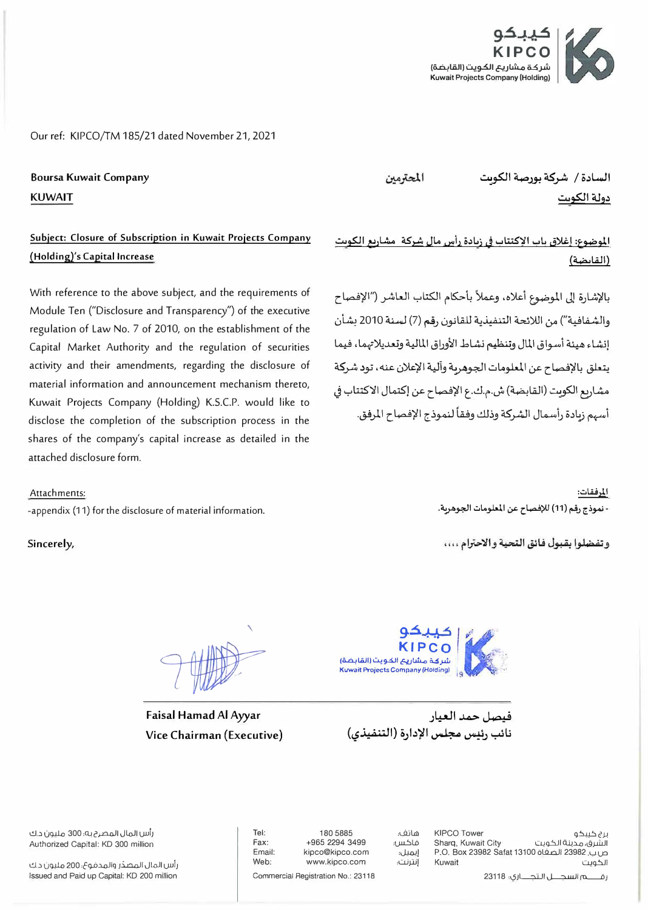

Our ref: KIPCO/TM 185/21 dated November 21, 2021

**Boursa Kuwait Company KUWAIT** 

## Subject: Closure of Subscription in Kuwait Projects Company (Holding)'s Capital Increase

With reference to the above subject, and the requirements of Module Ten ("Disclosure and Transparency") of the executive regulation of Law No. 7 of 2010, on the establishment of the Capital Market Authority and the regulation of securities activity and their amendments, regarding the disclosure of material information and announcement mechanism thereto, Kuwait Projects Company (Holding) K.S.C.P. would like to disclose the completion of the subscription process in the shares of the company's capital increase as detailed in the attached disclosure form

## Attachments:

-appendix (11) for the disclosure of material information.

Sincerely,

المحترمين

السادة / شركة بورصة الكويت دولة الكوت

الموضوع: إغلاق ياب الإكتتاب في زيادة رأس مال شركة مشاريع الكويت (القابضة)

بالإشارة إلى الموضوع أعلاه، وعملاً بأحكام الكتاب العاشر (''الإفصاح والشفافية") من اللائحة التنفيذية للقانون رقم (7) لسنة 2010 بشأن إنشاء هيئة أسواق المال وتنظيم نشاط الأوراق المالية وتعديلاتهما، فيما يتعلق بالإفصاح عن المعلومات الجوهرية وآلية الإعلان عنه، تود شركة مشاريع الكويت (القابضة) ش.م.ك.ع الإفصاح عن إكتمال الاكتتاب في أسهم زبادة رأسمال الشركة وذلك وفقاً لنموذج الإفصاح المرفق.

> المرفقات: - نموذج رقم (11) للإفصاح عن المعلومات الجوهربة.

وتفضلوا بقبول فائق التحية والاحترام ....

Faisal Hamad Al Ayyar Vice Chairman (Executive)



فيصل جمد العيان نائب رئيس مجلس الإدارة (التنفيذي)

رأس المال المصرح به؛ 300 مليون د.ك Authorized Capital: KD 300 million

رأس المال المصدّر والمدفوع، 200 مليون د.ك Issued and Paid up Capital: KD 200 million

Tel: Fax: Email: Web:

180 5885 +965 2294 3499 kipco@kipco.com www.kipco.com

هاتف: فاكس؛ إيميل: إنترنت:

KIPCO Tower برج کیبکو الشرق، مدينة الكويت Sharq, Kuwait City ص بِ. 23982 الصفاة 13100 P.O. Box 23982 Safat Kuwait الكويت

Commercial Registration No.: 23118

رقصم السجـــل الـتجــــاري؛ 23118